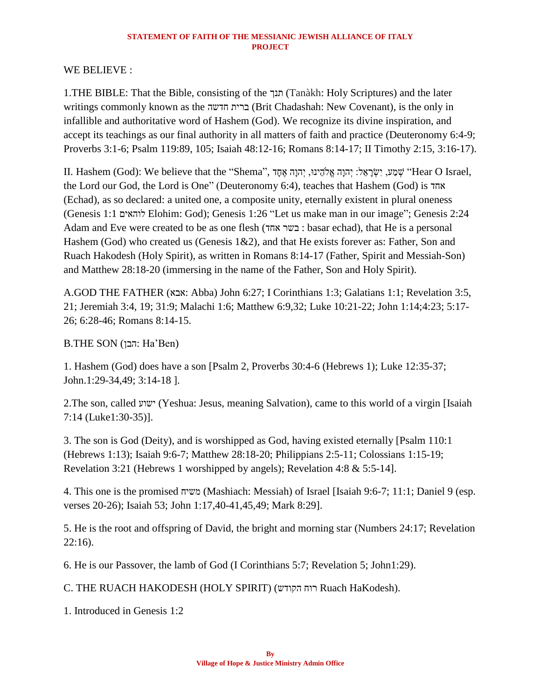#### **STATEMENT OF FAITH OF THE MESSIANIC JEWISH ALLIANCE OF ITALY PROJECT**

### WE BELIEVE :

1.THE BIBLE: That the Bible, consisting of the תנך) Tanàkh: Holy Scriptures) and the later writings commonly known as the ברית חדשה (Brit Chadashah: New Covenant), is the only in infallible and authoritative word of Hashem (God). We recognize its divine inspiration, and accept its teachings as our final authority in all matters of faith and practice (Deuteronomy 6:4-9; Proverbs 3:1-6; Psalm 119:89, 105; Isaiah 48:12-16; Romans 8:14-17; II Timothy 2:15, 3:16-17).

,II. Hashem (God): We believe that the "Shema", יְהוָה אֱלֹהֵינוּ, יְהוֹה אֱלֹהֵינוּ, יְהוֹה אֱלֹהֵינוּ, יִהוֹ the Lord our God, the Lord is One" (Deuteronomy 6:4), teaches that Hashem (God) is אחד (Echad), as so declared: a united one, a composite unity, eternally existent in plural oneness (Genesis 1:1 לוהאים Elohim: God); Genesis 1:26 "Let us make man in our image"; Genesis 2:24 Adam and Eve were created to be as one flesh (אחד בשר : basar echad), that He is a personal Hashem (God) who created us (Genesis 1&2), and that He exists forever as: Father, Son and Ruach Hakodesh (Holy Spirit), as written in Romans 8:14-17 (Father, Spirit and Messiah-Son) and Matthew 28:18-20 (immersing in the name of the Father, Son and Holy Spirit).

A.GOD THE FATHER (אבא: Abba) John 6:27; I Corinthians 1:3; Galatians 1:1; Revelation 3:5, 21; Jeremiah 3:4, 19; 31:9; Malachi 1:6; Matthew 6:9,32; Luke 10:21-22; John 1:14;4:23; 5:17- 26; 6:28-46; Romans 8:14-15.

### B.THE SON (הבן: Ha'Ben)

1. Hashem (God) does have a son [Psalm 2, Proverbs 30:4-6 (Hebrews 1); Luke 12:35-37; John.1:29-34,49; 3:14-18 ].

2.The son, called ישוע) Yeshua: Jesus, meaning Salvation), came to this world of a virgin [Isaiah 7:14 (Luke1:30-35)].

3. The son is God (Deity), and is worshipped as God, having existed eternally [Psalm 110:1 (Hebrews 1:13); Isaiah 9:6-7; Matthew 28:18-20; Philippians 2:5-11; Colossians 1:15-19; Revelation 3:21 (Hebrews 1 worshipped by angels); Revelation 4:8 & 5:5-14].

4. This one is the promised משיח) Mashiach: Messiah) of Israel [Isaiah 9:6-7; 11:1; Daniel 9 (esp. verses 20-26); Isaiah 53; John 1:17,40-41,45,49; Mark 8:29].

5. He is the root and offspring of David, the bright and morning star (Numbers 24:17; Revelation 22:16).

6. He is our Passover, the lamb of God (I Corinthians 5:7; Revelation 5; John1:29).

C. THE RUACH HAKODESH (HOLY SPIRIT) (הקודש רוח Ruach HaKodesh).

1. Introduced in Genesis 1:2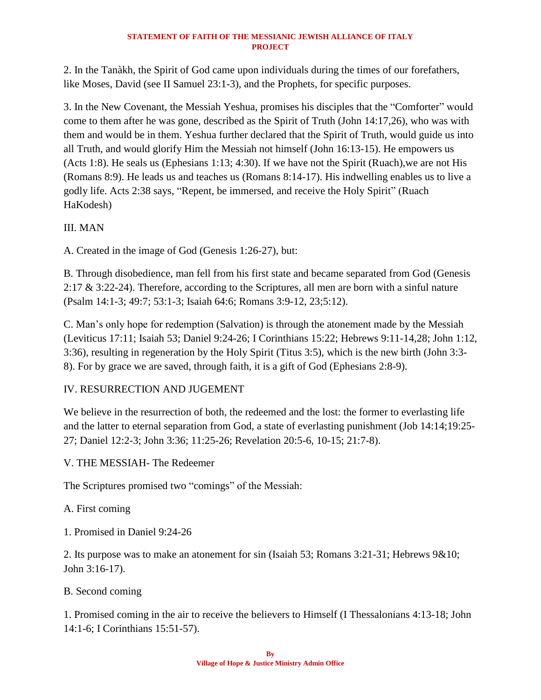#### **STATEMENT OF FAITH OF THE MESSIANIC JEWISH ALLIANCE OF ITALY PROJECT**

2. In the Tanàkh, the Spirit of God came upon individuals during the times of our forefathers, like Moses, David (see II Samuel 23:1-3), and the Prophets, for specific purposes.

3. In the New Covenant, the Messiah Yeshua, promises his disciples that the "Comforter" would come to them after he was gone, described as the Spirit of Truth (John 14:17,26), who was with them and would be in them. Yeshua further declared that the Spirit of Truth, would guide us into all Truth, and would glorify Him the Messiah not himself (John 16:13-15). He empowers us (Acts 1:8). He seals us (Ephesians 1:13; 4:30). If we have not the Spirit (Ruach),we are not His (Romans 8:9). He leads us and teaches us (Romans 8:14-17). His indwelling enables us to live a godly life. Acts 2:38 says, "Repent, be immersed, and receive the Holy Spirit" (Ruach HaKodesh)

## III. MAN

A. Created in the image of God (Genesis 1:26-27), but:

B. Through disobedience, man fell from his first state and became separated from God (Genesis 2:17 & 3:22-24). Therefore, according to the Scriptures, all men are born with a sinful nature (Psalm 14:1-3; 49:7; 53:1-3; Isaiah 64:6; Romans 3:9-12, 23;5:12).

C. Man's only hope for redemption (Salvation) is through the atonement made by the Messiah (Leviticus 17:11; Isaiah 53; Daniel 9:24-26; I Corinthians 15:22; Hebrews 9:11-14,28; John 1:12, 3:36), resulting in regeneration by the Holy Spirit (Titus 3:5), which is the new birth (John 3:3- 8). For by grace we are saved, through faith, it is a gift of God (Ephesians 2:8-9).

# IV. RESURRECTION AND JUGEMENT

We believe in the resurrection of both, the redeemed and the lost: the former to everlasting life and the latter to eternal separation from God, a state of everlasting punishment (Job 14:14;19:25- 27; Daniel 12:2-3; John 3:36; 11:25-26; Revelation 20:5-6, 10-15; 21:7-8).

V. THE MESSIAH- The Redeemer

The Scriptures promised two "comings" of the Messiah:

## A. First coming

1. Promised in Daniel 9:24-26

2. Its purpose was to make an atonement for sin (Isaiah 53; Romans 3:21-31; Hebrews 9&10; John 3:16-17).

# B. Second coming

1. Promised coming in the air to receive the believers to Himself (I Thessalonians 4:13-18; John 14:1-6; I Corinthians 15:51-57).